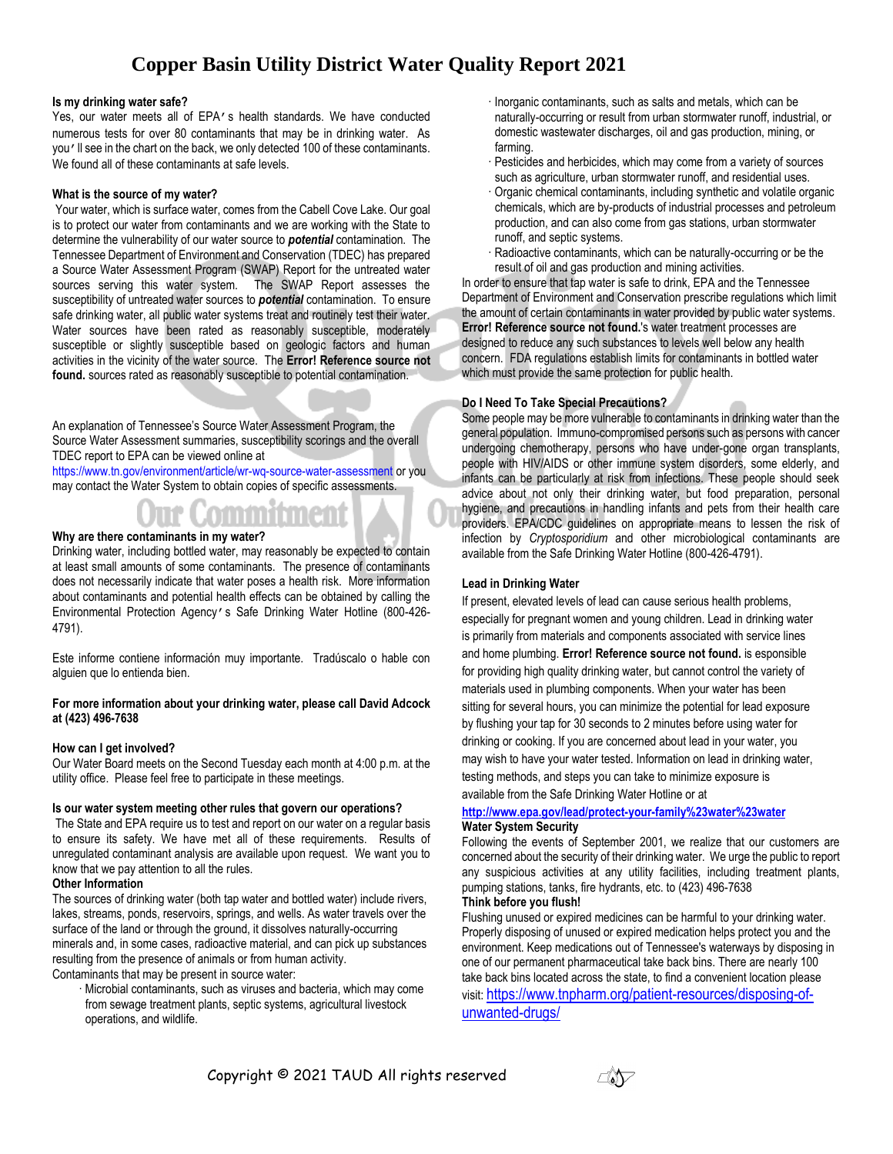# **Copper Basin Utility District Water Quality Report 2021**

#### **Is my drinking water safe?**

Yes, our water meets all of EPA's health standards. We have conducted numerous tests for over 80 contaminants that may be in drinking water. As you'll see in the chart on the back, we only detected 100 of these contaminants. We found all of these contaminants at safe levels.

#### **What is the source of my water?**

Your water, which is surface water, comes from the Cabell Cove Lake. Our goal is to protect our water from contaminants and we are working with the State to determine the vulnerability of our water source to *potential* contamination. The Tennessee Department of Environment and Conservation (TDEC) has prepared a Source Water Assessment Program (SWAP) Report for the untreated water sources serving this water system. The SWAP Report assesses the susceptibility of untreated water sources to *potential* contamination. To ensure safe drinking water, all public water systems treat and routinely test their water. Water sources have been rated as reasonably susceptible, moderately susceptible or slightly susceptible based on geologic factors and human activities in the vicinity of the water source. The **Error! Reference source not found.** sources rated as reasonably susceptible to potential contamination.

An explanation of Tennessee's Source Water Assessment Program, the Source Water Assessment summaries, susceptibility scorings and the overall TDEC report to EPA can be viewed online at

<https://www.tn.gov/environment/article/wr-wq-source-water-assessment> or you may contact the Water System to obtain copies of specific assessments.

# **Why are there contaminants in my water?**

Drinking water, including bottled water, may reasonably be expected to contain at least small amounts of some contaminants. The presence of contaminants does not necessarily indicate that water poses a health risk. More information about contaminants and potential health effects can be obtained by calling the Environmental Protection Agency's Safe Drinking Water Hotline (800-426- 4791).

Este informe contiene información muy importante. Tradúscalo o hable con alguien que lo entienda bien.

#### **For more information about your drinking water, please call David Adcock at (423) 496-7638**

#### **How can I get involved?**

Our Water Board meets on the Second Tuesday each month at 4:00 p.m. at the utility office. Please feel free to participate in these meetings.

# **Is our water system meeting other rules that govern our operations?**

The State and EPA require us to test and report on our water on a regular basis to ensure its safety. We have met all of these requirements. Results of unregulated contaminant analysis are available upon request. We want you to know that we pay attention to all the rules.

#### **Other Information**

The sources of drinking water (both tap water and bottled water) include rivers, lakes, streams, ponds, reservoirs, springs, and wells. As water travels over the surface of the land or through the ground, it dissolves naturally-occurring minerals and, in some cases, radioactive material, and can pick up substances resulting from the presence of animals or from human activity.

Contaminants that may be present in source water:

· Microbial contaminants, such as viruses and bacteria, which may come from sewage treatment plants, septic systems, agricultural livestock operations, and wildlife.

- · Inorganic contaminants, such as salts and metals, which can be naturally-occurring or result from urban stormwater runoff, industrial, or domestic wastewater discharges, oil and gas production, mining, or farming.
- · Pesticides and herbicides, which may come from a variety of sources such as agriculture, urban stormwater runoff, and residential uses.
- · Organic chemical contaminants, including synthetic and volatile organic chemicals, which are by-products of industrial processes and petroleum production, and can also come from gas stations, urban stormwater runoff, and septic systems.
- · Radioactive contaminants, which can be naturally-occurring or be the result of oil and gas production and mining activities.

In order to ensure that tap water is safe to drink, EPA and the Tennessee Department of Environment and Conservation prescribe regulations which limit the amount of certain contaminants in water provided by public water systems. **Error! Reference source not found.**'s water treatment processes are designed to reduce any such substances to levels well below any health concern. FDA regulations establish limits for contaminants in bottled water which must provide the same protection for public health.

# **Do I Need To Take Special Precautions?**

Some people may be more vulnerable to contaminants in drinking water than the general population. Immuno-compromised persons such as persons with cancer undergoing chemotherapy, persons who have under-gone organ transplants, people with HIV/AIDS or other immune system disorders, some elderly, and infants can be particularly at risk from infections. These people should seek advice about not only their drinking water, but food preparation, personal hygiene, and precautions in handling infants and pets from their health care providers. EPA/CDC guidelines on appropriate means to lessen the risk of infection by *Cryptosporidium* and other microbiological contaminants are available from the Safe Drinking Water Hotline (800-426-4791).

### **Lead in Drinking Water**

If present, elevated levels of lead can cause serious health problems, especially for pregnant women and young children. Lead in drinking water is primarily from materials and components associated with service lines and home plumbing. **Error! Reference source not found.** is esponsible for providing high quality drinking water, but cannot control the variety of materials used in plumbing components. When your water has been sitting for several hours, you can minimize the potential for lead exposure by flushing your tap for 30 seconds to 2 minutes before using water for drinking or cooking. If you are concerned about lead in your water, you may wish to have your water tested. Information on lead in drinking water, testing methods, and steps you can take to minimize exposure is available from the Safe Drinking Water Hotline or at

#### **<http://www.epa.gov/lead/protect-your-family%23water%23water> Water System Security**

Following the events of September 2001, we realize that our customers are concerned about the security of their drinking water. We urge the public to report any suspicious activities at any utility facilities, including treatment plants, pumping stations, tanks, fire hydrants, etc. to (423) 496-7638 **Think before you flush!**

Flushing unused or expired medicines can be harmful to your drinking water. Properly disposing of unused or expired medication helps protect you and the environment. Keep medications out of Tennessee's waterways by disposing in one of our permanent pharmaceutical take back bins. There are nearly 100 take back bins located across the state, to find a convenient location please visit: [https://www.tnpharm.org/patient-resources/disposing-of](https://www.tnpharm.org/patient-resources/disposing-of-unwanted-drugs/)[unwanted-drugs/](https://www.tnpharm.org/patient-resources/disposing-of-unwanted-drugs/)